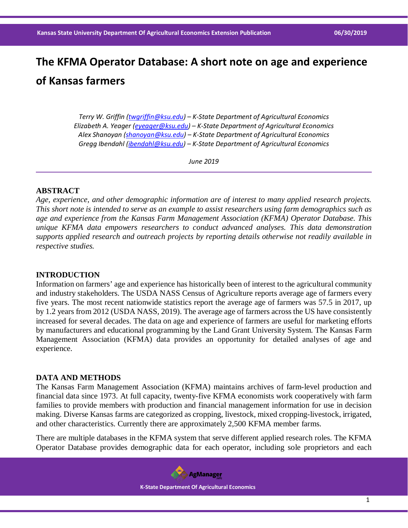# **The KFMA Operator Database: A short note on age and experience of Kansas farmers**

*Terry W. Griffin [\(twgriffin@ksu.edu\)](mailto:twgriffin@ksu.edu) – K-State Department of Agricultural Economics Elizabeth A. Yeager [\(eyeager@ksu.edu\)](mailto:eyeager@ksu.edu) – K-State Department of Agricultural Economics Alex Shanoyan [\(shanoyan@ksu.edu\)](mailto:shanoyan@ksu.edu) – K-State Department of Agricultural Economics Gregg Ibendahl [\(ibendahl@ksu.edu\)](mailto:ibendahl@ksu.edu) – K-State Department of Agricultural Economics*

*June 2019*

#### **ABSTRACT**

*Age, experience, and other demographic information are of interest to many applied research projects. This short note is intended to serve as an example to assist researchers using farm demographics such as age and experience from the Kansas Farm Management Association (KFMA) Operator Database. This unique KFMA data empowers researchers to conduct advanced analyses. This data demonstration supports applied research and outreach projects by reporting details otherwise not readily available in respective studies.* 

#### **INTRODUCTION**

Information on farmers' age and experience has historically been of interest to the agricultural community and industry stakeholders. The USDA NASS Census of Agriculture reports average age of farmers every five years. The most recent nationwide statistics report the average age of farmers was 57.5 in 2017, up by 1.2 years from 2012 (USDA NASS, 2019). The average age of farmers across the US have consistently increased for several decades. The data on age and experience of farmers are useful for marketing efforts by manufacturers and educational programming by the Land Grant University System. The Kansas Farm Management Association (KFMA) data provides an opportunity for detailed analyses of age and experience.

### **DATA AND METHODS**

The Kansas Farm Management Association (KFMA) maintains archives of farm-level production and financial data since 1973. At full capacity, twenty-five KFMA economists work cooperatively with farm families to provide members with production and financial management information for use in decision making. Diverse Kansas farms are categorized as cropping, livestock, mixed cropping-livestock, irrigated, and other characteristics. Currently there are approximately 2,500 KFMA member farms.

There are multiple databases in the KFMA system that serve different applied research roles. The KFMA Operator Database provides demographic data for each operator, including sole proprietors and each

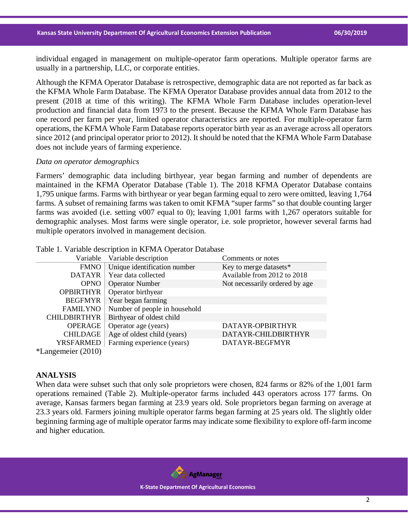individual engaged in management on multiple-operator farm operations. Multiple operator farms are usually in a partnership, LLC, or corporate entities.

Although the KFMA Operator Database is retrospective, demographic data are not reported as far back as the KFMA Whole Farm Database. The KFMA Operator Database provides annual data from 2012 to the present (2018 at time of this writing). The KFMA Whole Farm Database includes operation-level production and financial data from 1973 to the present. Because the KFMA Whole Farm Database has one record per farm per year, limited operator characteristics are reported. For multiple-operator farm operations, the KFMA Whole Farm Database reports operator birth year as an average across all operators since 2012 (and principal operator prior to 2012). It should be noted that the KFMA Whole Farm Database does not include years of farming experience.

#### *Data on operator demographics*

Farmers' demographic data including birthyear, year began farming and number of dependents are maintained in the KFMA Operator Database (Table 1). The 2018 KFMA Operator Database contains 1,795 unique farms. Farms with birthyear or year began farming equal to zero were omitted, leaving 1,764 farms. A subset of remaining farms was taken to omit KFMA "super farms" so that double counting larger farms was avoided (i.e. setting v007 equal to 0); leaving 1,001 farms with 1,267 operators suitable for demographic analyses. Most farms were single operator, i.e. sole proprietor, however several farms had multiple operators involved in management decision.

| Variable              | Variable description          | Comments or notes              |
|-----------------------|-------------------------------|--------------------------------|
| <b>FMNO</b>           | Unique identification number  | Key to merge datasets*         |
| <b>DATAYR</b>         | Year data collected           | Available from 2012 to 2018    |
| <b>OPNO</b>           | <b>Operator Number</b>        | Not necessarily ordered by age |
| <b>OPBIRTHYR</b>      | Operator birthyear            |                                |
| <b>BEGFMYR</b>        | Year began farming            |                                |
| <b>FAMILYNO</b>       | Number of people in household |                                |
| <b>CHILDBIRTHYR</b>   | Birthyear of oldest child     |                                |
| <b>OPERAGE</b>        | Operator age (years)          | DATAYR-OPBIRTHYR               |
| <b>CHILDAGE</b>       | Age of oldest child (years)   | DATAYR-CHILDBIRTHYR            |
| <b>YRSFARMED</b>      | Farming experience (years)    | DATAYR-BEGFMYR                 |
| $*$ Langemeier (2010) |                               |                                |

Table 1. Variable description in KFMA Operator Database

#### **ANALYSIS**

When data were subset such that only sole proprietors were chosen, 824 farms or 82% of the 1,001 farm operations remained (Table 2). Multiple-operator farms included 443 operators across 177 farms. On average, Kansas farmers began farming at 23.9 years old. Sole proprietors began farming on average at 23.3 years old. Farmers joining multiple operator farms began farming at 25 years old. The slightly older beginning farming age of multiple operator farms may indicate some flexibility to explore off-farm income and higher education.

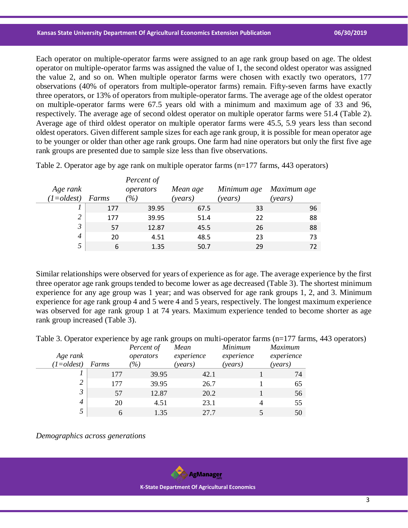Each operator on multiple-operator farms were assigned to an age rank group based on age. The oldest operator on multiple-operator farms was assigned the value of 1, the second oldest operator was assigned the value 2, and so on. When multiple operator farms were chosen with exactly two operators, 177 observations (40% of operators from multiple-operator farms) remain. Fifty-seven farms have exactly three operators, or 13% of operators from multiple-operator farms. The average age of the oldest operator on multiple-operator farms were 67.5 years old with a minimum and maximum age of 33 and 96, respectively. The average age of second oldest operator on multiple operator farms were 51.4 (Table 2). Average age of third oldest operator on multiple operator farms were 45.5, 5.9 years less than second oldest operators. Given different sample sizes for each age rank group, it is possible for mean operator age to be younger or older than other age rank groups. One farm had nine operators but only the first five age rank groups are presented due to sample size less than five observations.

Table 2. Operator age by age rank on multiple operator farms (n=177 farms, 443 operators)

| Maximum age |
|-------------|
| 96          |
| 88          |
| 88          |
| 73          |
| 72          |
|             |

Similar relationships were observed for years of experience as for age. The average experience by the first three operator age rank groups tended to become lower as age decreased (Table 3). The shortest minimum experience for any age group was 1 year; and was observed for age rank groups 1, 2, and 3. Minimum experience for age rank group 4 and 5 were 4 and 5 years, respectively. The longest maximum experience was observed for age rank group 1 at 74 years. Maximum experience tended to become shorter as age rank group increased (Table 3).

|  |  |  | Table 3. Operator experience by age rank groups on multi-operator farms (n=177 farms, 443 operators) |  |  |  |
|--|--|--|------------------------------------------------------------------------------------------------------|--|--|--|
|  |  |  |                                                                                                      |  |  |  |

| Age rank<br>$(1 = oldest)$ | Farms | Percent of<br>operators<br>$\% )$ | Mean<br>experience<br>(years) | Minimum<br>experience<br>(years) | <i>Maximum</i><br>experience<br>(years) |
|----------------------------|-------|-----------------------------------|-------------------------------|----------------------------------|-----------------------------------------|
|                            | 177   | 39.95                             | 42.1                          |                                  | 74                                      |
| 2                          | 177   | 39.95                             | 26.7                          |                                  | 65                                      |
| $\mathfrak{Z}$             | 57    | 12.87                             | 20.2                          |                                  | 56                                      |
| 4                          | 20    | 4.51                              | 23.1                          |                                  | 55                                      |
| 5                          | h     | 1.35                              | 27.7                          |                                  | 50                                      |

*Demographics across generations*



 **K-State Department Of Agricultural Economics**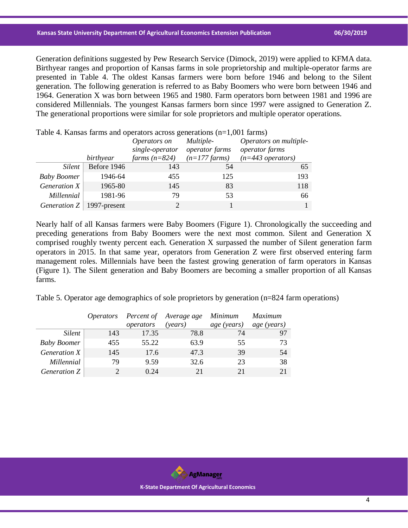#### **Kansas State University Department Of Agricultural Economics Extension Publication 06/30/2019**

Generation definitions suggested by Pew Research Service (Dimock, 2019) were applied to KFMA data. Birthyear ranges and proportion of Kansas farms in sole proprietorship and multiple-operator farms are presented in Table 4. The oldest Kansas farmers were born before 1946 and belong to the Silent generation. The following generation is referred to as Baby Boomers who were born between 1946 and 1964. Generation X was born between 1965 and 1980. Farm operators born between 1981 and 1996 are considered Millennials. The youngest Kansas farmers born since 1997 were assigned to Generation Z. The generational proportions were similar for sole proprietors and multiple operator operations.

| Table 4. Natisas fartification operators across generations $(II=1,001)$ fartifis) |             |                 |                           |                        |  |  |  |
|------------------------------------------------------------------------------------|-------------|-----------------|---------------------------|------------------------|--|--|--|
|                                                                                    |             | Operators on    | Multiple-                 | Operators on multiple- |  |  |  |
|                                                                                    |             | single-operator | <i>operator farms</i>     | operator farms         |  |  |  |
|                                                                                    | birthyear   | farms $(n=824)$ | $(n=177 \, \text{farms})$ | $(n=443$ operators)    |  |  |  |
| <i>Silent</i>                                                                      | Before 1946 | 143             | 54                        | 65                     |  |  |  |
| <b>Baby Boomer</b>                                                                 | 1946-64     | 455             | 125                       | 193                    |  |  |  |
| Generation X                                                                       | 1965-80     | 145             | 83                        | 118                    |  |  |  |
| Millennial                                                                         | 1981-96     | 79              | 53                        | 66                     |  |  |  |
| Generation $Z \mid 1997$ -present                                                  |             | $\mathcal{D}$   |                           |                        |  |  |  |

 $T_{\text{c}}$ ble 4. Kansas farms and operators across generations  $(n-1,001 \text{ terms})$ 

Nearly half of all Kansas farmers were Baby Boomers (Figure 1). Chronologically the succeeding and preceding generations from Baby Boomers were the next most common. Silent and Generation X comprised roughly twenty percent each. Generation X surpassed the number of Silent generation farm operators in 2015. In that same year, operators from Generation Z were first observed entering farm management roles. Millennials have been the fastest growing generation of farm operators in Kansas (Figure 1). The Silent generation and Baby Boomers are becoming a smaller proportion of all Kansas farms.

Table 5. Operator age demographics of sole proprietors by generation (n=824 farm operations)

|                    |     |           | Operators Percent of Average age Minimum |             | Maximum     |
|--------------------|-----|-----------|------------------------------------------|-------------|-------------|
|                    |     | operators | (vears)                                  | age (years) | age (years) |
| Silent             | 143 | 17.35     | 78.8                                     | 74          | 97          |
| <b>Baby Boomer</b> | 455 | 55.22     | 63.9                                     | 55          | 73          |
| Generation X       | 145 | 17.6      | 47.3                                     | 39          | .54         |
| Millennial         | 79  | 9.59      | 32.6                                     | 23          | 38          |
| Generation Z       |     | 0.24      | 21                                       | 21          |             |

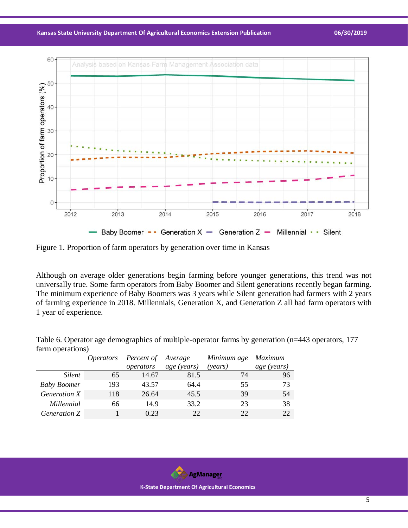**Kansas State University Department Of Agricultural Economics Extension Publication 06/30/2019**



Figure 1. Proportion of farm operators by generation over time in Kansas

Although on average older generations begin farming before younger generations, this trend was not universally true. Some farm operators from Baby Boomer and Silent generations recently began farming. The minimum experience of Baby Boomers was 3 years while Silent generation had farmers with 2 years of farming experience in 2018. Millennials, Generation X, and Generation Z all had farm operators with 1 year of experience.

Table 6. Operator age demographics of multiple-operator farms by generation (n=443 operators, 177 farm operations)

|                    | <i>Operators</i> | Percent of Average |             | Minimum age Maximum |             |
|--------------------|------------------|--------------------|-------------|---------------------|-------------|
|                    |                  | operators          | age (years) | ( <i>years</i> )    | age (years) |
| Silent             | 65               | 14.67              | 81.5        | 74                  | 96          |
| <b>Baby Boomer</b> | 193              | 43.57              | 64.4        | 55                  | 73          |
| Generation X       | 118              | 26.64              | 45.5        | 39                  | 54          |
| Millennial         | 66               | 14.9               | 33.2        | 23                  | 38          |
| Generation Z       |                  | 0.23               | 22          | 22                  | 22.         |



 **K-State Department Of Agricultural Economics**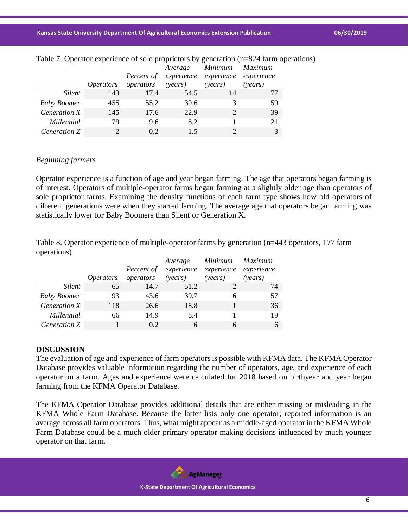|                     |                  | Percent of | Average | Minimum Maximum<br>experience experience experience |         |
|---------------------|------------------|------------|---------|-----------------------------------------------------|---------|
|                     | <i>Operators</i> | operators  | (years) | (years)                                             | (vears) |
| <i>Silent</i>       | 143              | 17.4       | 54.5    | 14                                                  | 77      |
| <b>Baby Boomer</b>  | 455              | 55.2       | 39.6    |                                                     | 59      |
| <i>Generation X</i> | 145              | 17.6       | 22.9    |                                                     | 39      |
| Millennial          | 79               | 9.6        | 8.2     |                                                     | 21      |
| <i>Generation Z</i> |                  | 02         | 15      |                                                     |         |

#### Table 7. Operator experience of sole proprietors by generation (n=824 farm operations)

### *Beginning farmers*

Operator experience is a function of age and year began farming. The age that operators began farming is of interest. Operators of multiple-operator farms began farming at a slightly older age than operators of sole proprietor farms. Examining the density functions of each farm type shows how old operators of different generations were when they started farming. The average age that operators began farming was statistically lower for Baby Boomers than Silent or Generation X.

Table 8. Operator experience of multiple-operator farms by generation (n=443 operators, 177 farm operations)

|                    | <i>Operators</i> | Percent of<br>operators | Average<br>experience<br>(years) | Minimum<br>experience<br>(years) | Maximum<br>experience<br>(years) |
|--------------------|------------------|-------------------------|----------------------------------|----------------------------------|----------------------------------|
| <i>Silent</i>      | 65               | 14.7                    | 51.2                             |                                  | 74                               |
| <b>Baby Boomer</b> | 193              | 43.6                    | 39.7                             | 6                                | 57                               |
| Generation X       | 118              | 26.6                    | 18.8                             |                                  | 36                               |
| Millennial         | 66               | 14.9                    | 8.4                              |                                  | 19                               |
| Generation Z       |                  | 0.2                     | 6                                | 6                                |                                  |

# **DISCUSSION**

The evaluation of age and experience of farm operators is possible with KFMA data. The KFMA Operator Database provides valuable information regarding the number of operators, age, and experience of each operator on a farm. Ages and experience were calculated for 2018 based on birthyear and year began farming from the KFMA Operator Database.

The KFMA Operator Database provides additional details that are either missing or misleading in the KFMA Whole Farm Database. Because the latter lists only one operator, reported information is an average across all farm operators. Thus, what might appear as a middle-aged operator in the KFMA Whole Farm Database could be a much older primary operator making decisions influenced by much younger operator on that farm.